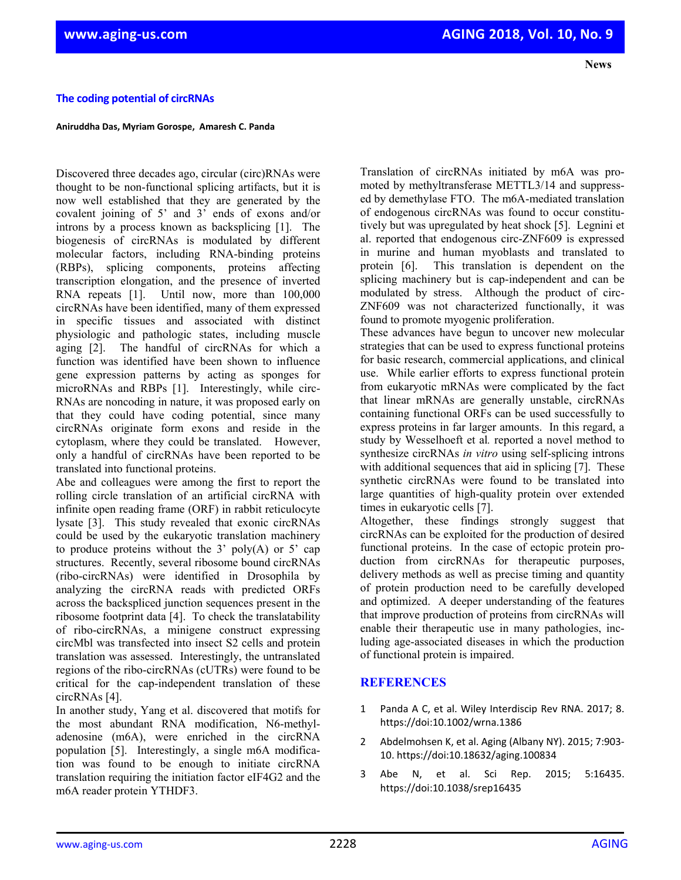## **The coding potential of circRNAs**

**Aniruddha Das, Myriam Gorospe, Amaresh C. Panda**

Discovered three decades ago, circular (circ)RNAs were thought to be non-functional splicing artifacts, but it is now well established that they are generated by the covalent joining of 5' and 3' ends of exons and/or introns by a process known as backsplicing [1]. The biogenesis of circRNAs is modulated by different molecular factors, including RNA-binding proteins (RBPs), splicing components, proteins affecting transcription elongation, and the presence of inverted RNA repeats [1]. Until now, more than 100,000 circRNAs have been identified, many of them expressed in specific tissues and associated with distinct physiologic and pathologic states, including muscle aging [2]. The handful of circRNAs for which a function was identified have been shown to influence gene expression patterns by acting as sponges for microRNAs and RBPs [1]. Interestingly, while circ-RNAs are noncoding in nature, it was proposed early on that they could have coding potential, since many circRNAs originate form exons and reside in the cytoplasm, where they could be translated. However, only a handful of circRNAs have been reported to be translated into functional proteins.

Abe and colleagues were among the first to report the rolling circle translation of an artificial circRNA with infinite open reading frame (ORF) in rabbit reticulocyte lysate [3]. This study revealed that exonic circRNAs could be used by the eukaryotic translation machinery to produce proteins without the  $3'$  poly(A) or  $5'$  cap structures. Recently, several ribosome bound circRNAs (ribo-circRNAs) were identified in Drosophila by analyzing the circRNA reads with predicted ORFs across the backspliced junction sequences present in the ribosome footprint data [4]. To check the translatability of ribo-circRNAs, a minigene construct expressing circMbl was transfected into insect S2 cells and protein translation was assessed. Interestingly, the untranslated regions of the ribo-circRNAs (cUTRs) were found to be critical for the cap-independent translation of these circRNAs [4].

In another study, Yang et al. discovered that motifs for the most abundant RNA modification, N6-methyladenosine (m6A), were enriched in the circRNA population [5]. Interestingly, a single m6A modification was found to be enough to initiate circRNA translation requiring the initiation factor eIF4G2 and the m6A reader protein YTHDF3.

Translation of circRNAs initiated by m6A was promoted by methyltransferase METTL3/14 and suppressed by demethylase FTO. The m6A-mediated translation of endogenous circRNAs was found to occur constitutively but was upregulated by heat shock [5]. Legnini et al. reported that endogenous circ-ZNF609 is expressed in murine and human myoblasts and translated to protein [6]. This translation is dependent on the splicing machinery but is cap-independent and can be modulated by stress. Although the product of circ-ZNF609 was not characterized functionally, it was found to promote myogenic proliferation.

 **News**

These advances have begun to uncover new molecular strategies that can be used to express functional proteins for basic research, commercial applications, and clinical use. While earlier efforts to express functional protein from eukaryotic mRNAs were complicated by the fact that linear mRNAs are generally unstable, circRNAs containing functional ORFs can be used successfully to express proteins in far larger amounts. In this regard, a study by Wesselhoeft et al*.* reported a novel method to synthesize circRNAs *in vitro* using self-splicing introns with additional sequences that aid in splicing [7]. These synthetic circRNAs were found to be translated into large quantities of high-quality protein over extended times in eukaryotic cells [7].

Altogether, these findings strongly suggest that circRNAs can be exploited for the production of desired functional proteins. In the case of ectopic protein production from circRNAs for therapeutic purposes, delivery methods as well as precise timing and quantity of protein production need to be carefully developed and optimized. A deeper understanding of the features that improve production of proteins from circRNAs will enable their therapeutic use in many pathologies, including age-associated diseases in which the production of functional protein is impaired.

## **REFERENCES**

- 1 Panda A C, et al. Wiley Interdiscip Rev RNA. 2017; 8. https://doi:10.1002/wrna.1386
- 2 Abdelmohsen K, et al. Aging (Albany NY). 2015; 7:903‐ 10. https://doi:10.18632/aging.100834
- 3 Abe N, et al. Sci Rep. 2015; 5:16435. https://doi:10.1038/srep16435